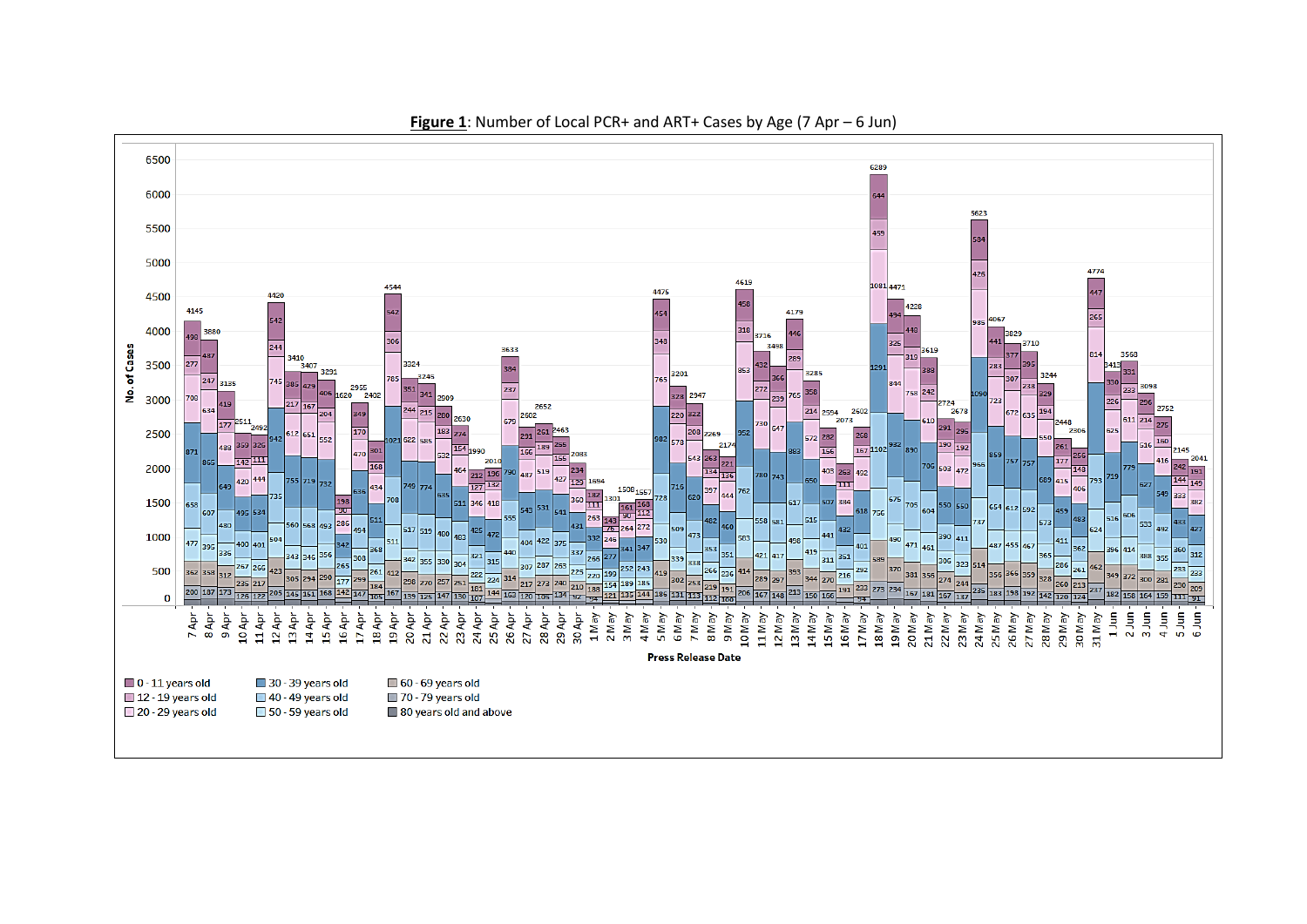

**Figure 1**: Number of Local PCR+ and ART+ Cases by Age (7 Apr – 6 Jun)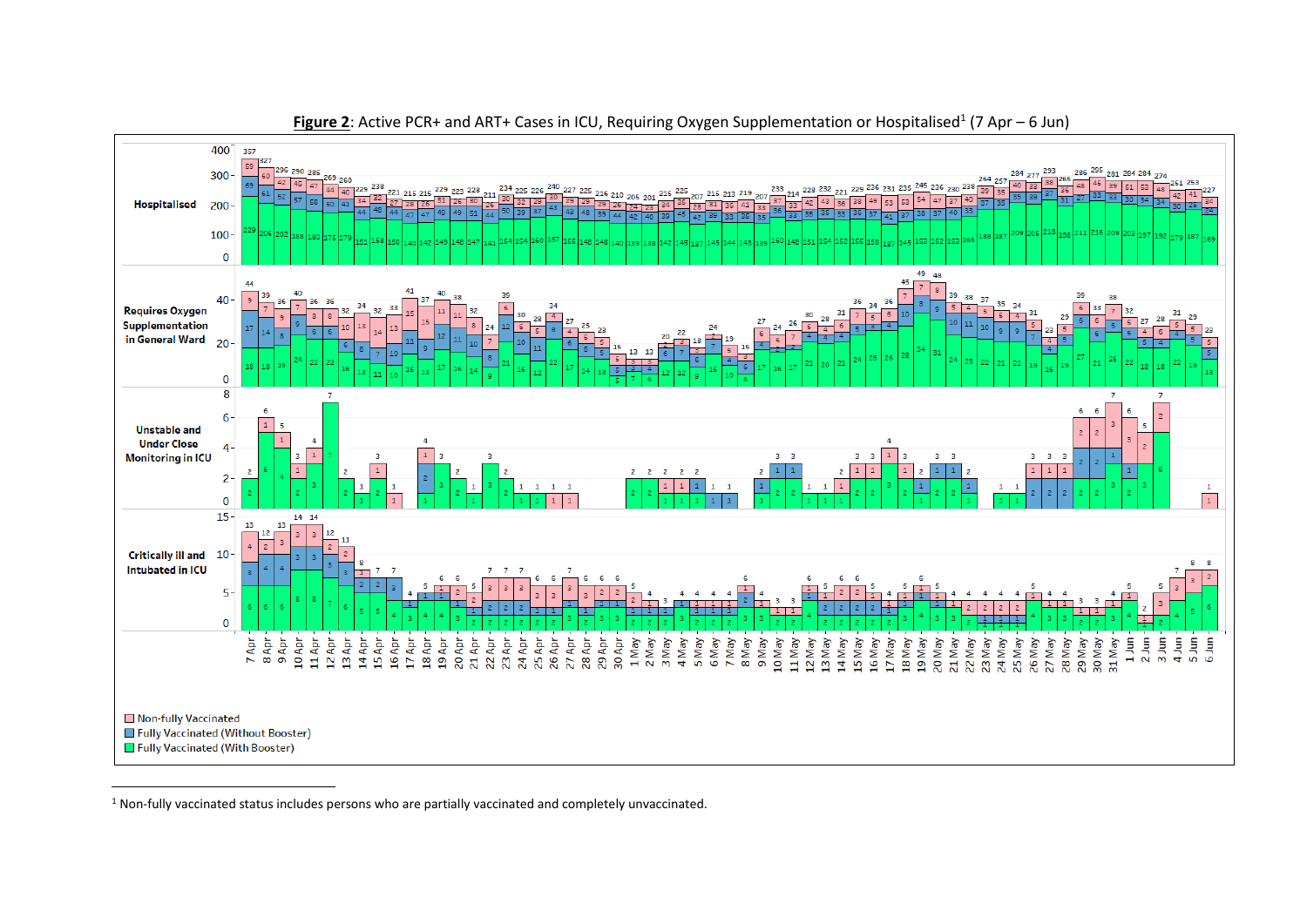

**Figure 2**: Active PCR+ and ART+ Cases in ICU, Requiring Oxygen Supplementation or Hospitalised<sup>1</sup> (7 Apr – 6 Jun)

<sup>1</sup> Non-fully vaccinated status includes persons who are partially vaccinated and completely unvaccinated.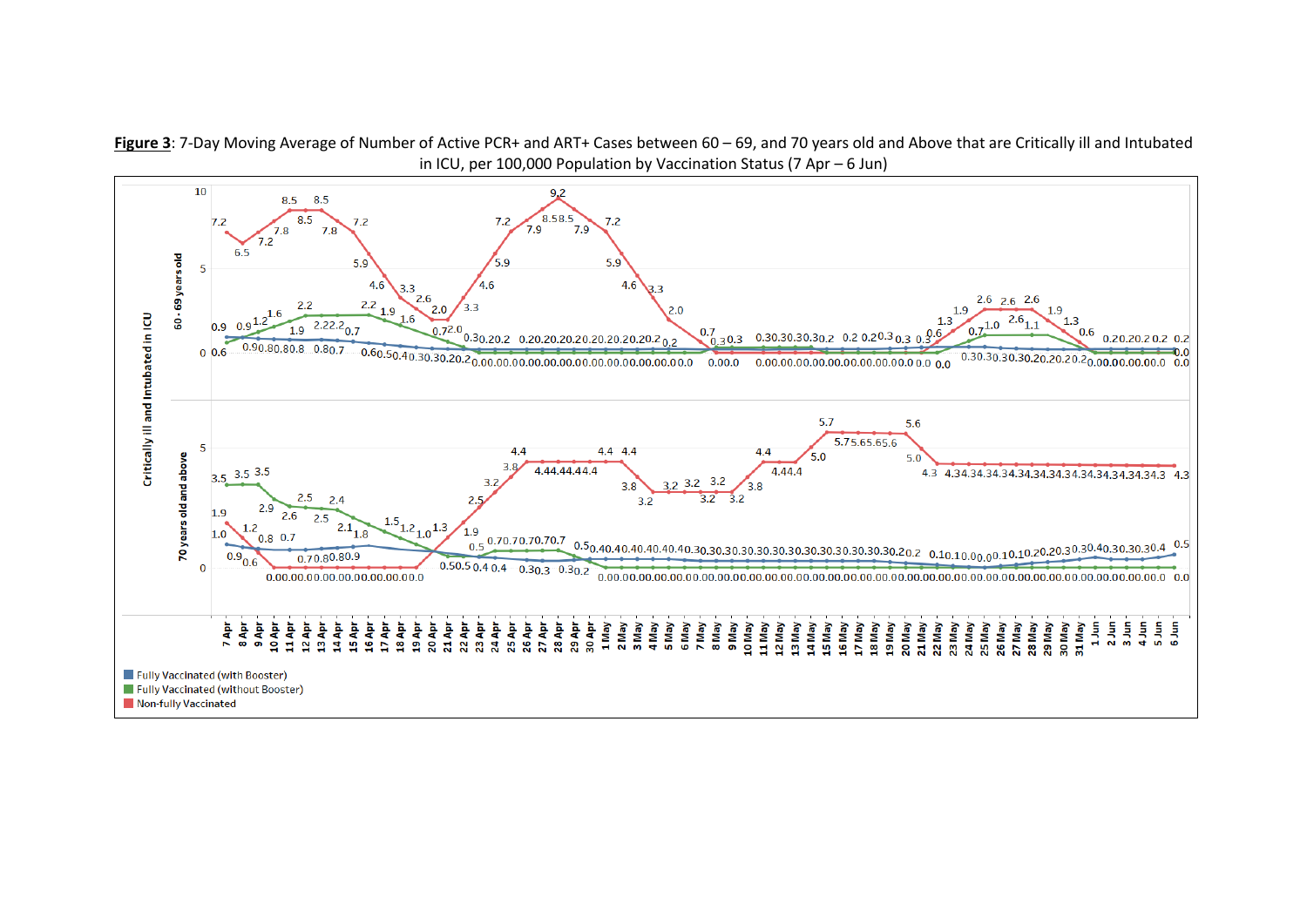**Figure 3**: 7-Day Moving Average of Number of Active PCR+ and ART+ Cases between 60 – 69, and 70 years old and Above that are Critically ill and Intubated in ICU, per 100,000 Population by Vaccination Status (7 Apr – 6 Jun)

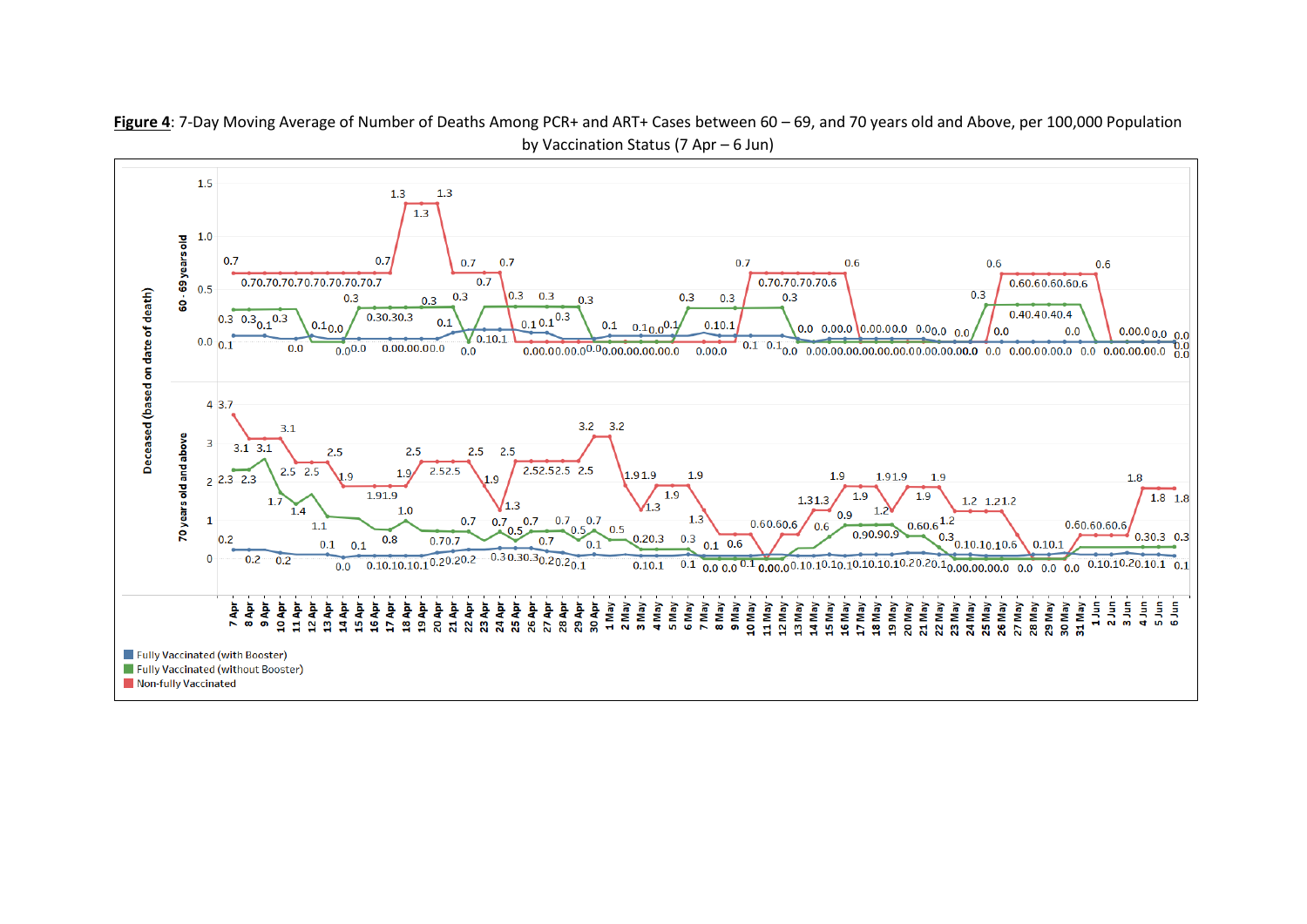

**Figure 4**: 7-Day Moving Average of Number of Deaths Among PCR+ and ART+ Cases between 60 – 69, and 70 years old and Above, per 100,000 Population by Vaccination Status (7 Apr – 6 Jun)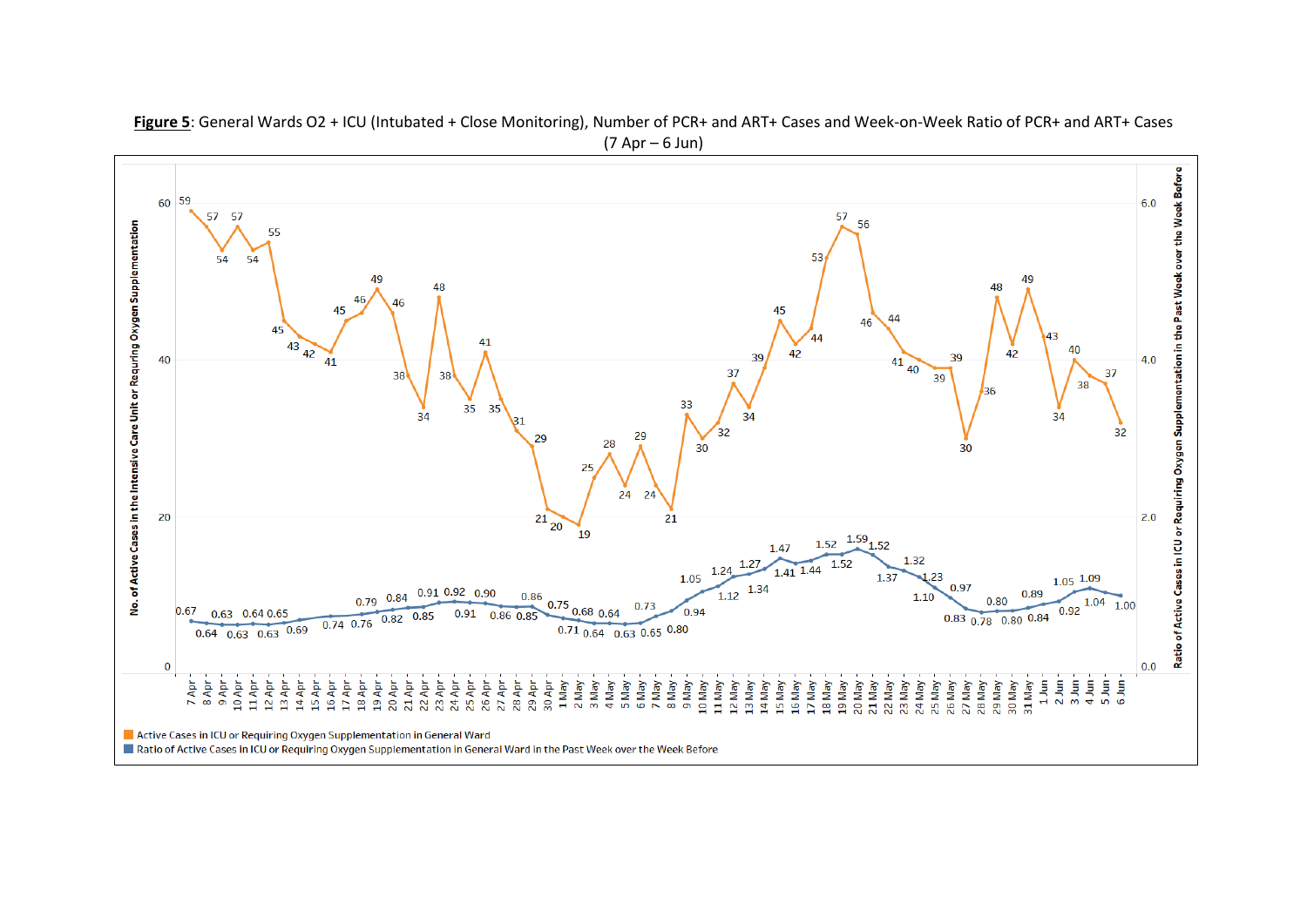

**Figure 5**: General Wards O2 + ICU (Intubated + Close Monitoring), Number of PCR+ and ART+ Cases and Week-on-Week Ratio of PCR+ and ART+ Cases (7 Apr – 6 Jun)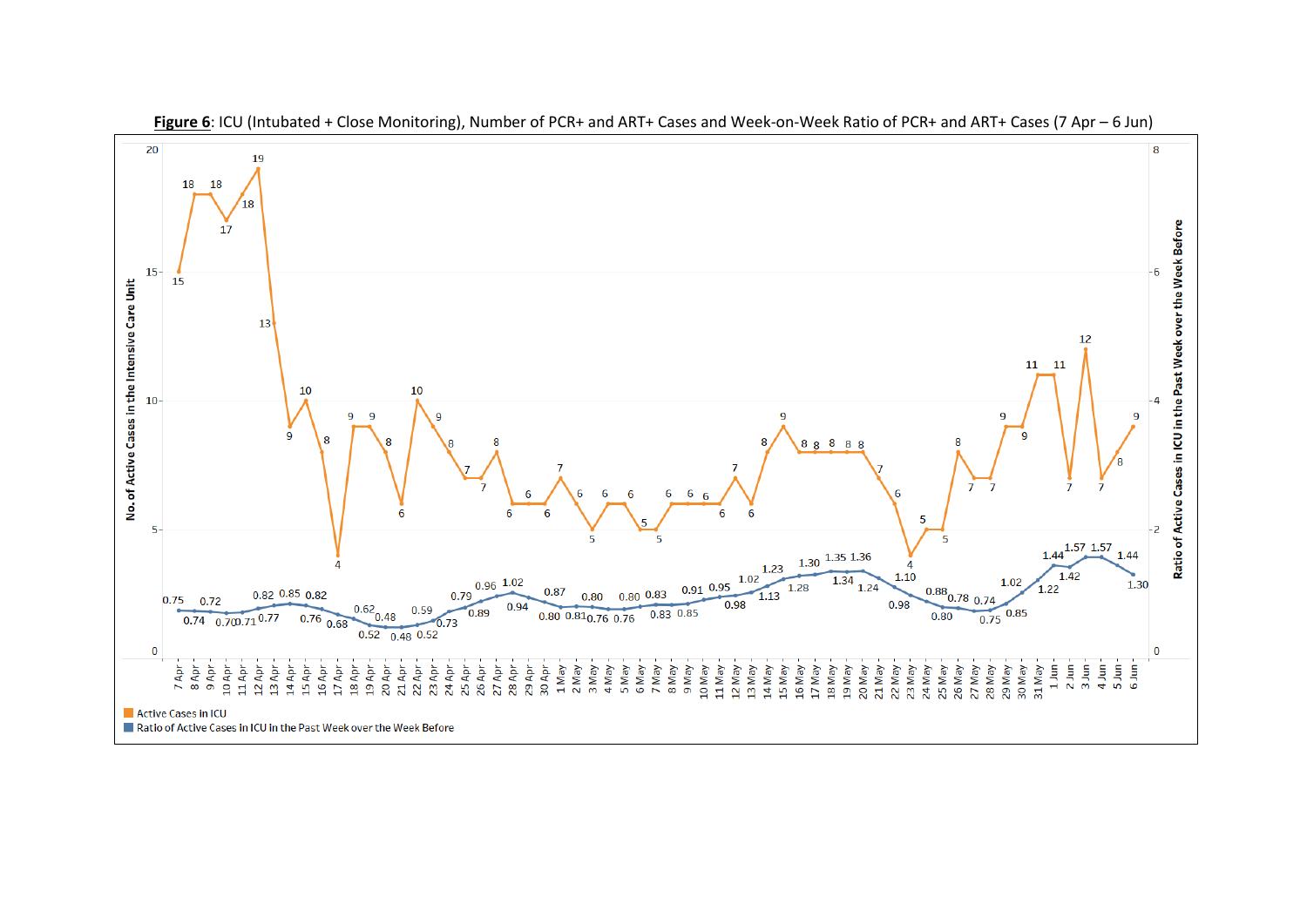

**Figure 6**: ICU (Intubated + Close Monitoring), Number of PCR+ and ART+ Cases and Week-on-Week Ratio of PCR+ and ART+ Cases (7 Apr – 6 Jun)